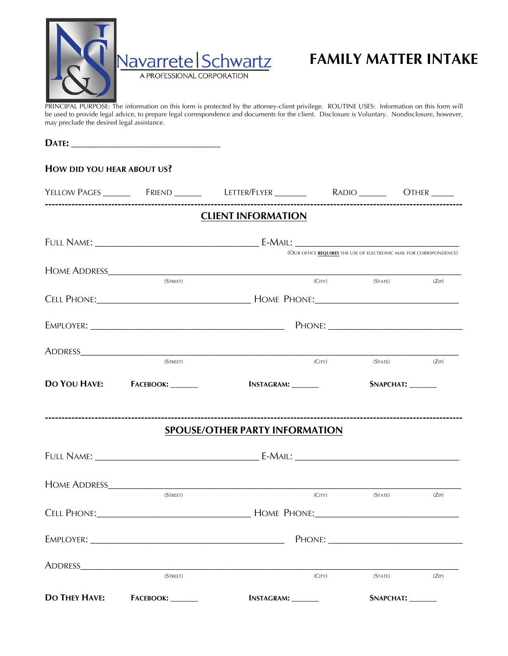

## **FAMILY MATTER INTAKE**

PRINCIPAL PURPOSE: The information on this form is protected by the attorney-client privilege. ROUTINE USES: Information on this form will be used to provide legal advice, to prepare legal correspondence and documents for the client. Disclosure is Voluntary. Nondisclosure, however, may preclude the desired legal assistance.

| HOW DID YOU HEAR ABOUT US? |                               |                                                                    |        |                  |  |  |  |  |
|----------------------------|-------------------------------|--------------------------------------------------------------------|--------|------------------|--|--|--|--|
|                            |                               |                                                                    |        |                  |  |  |  |  |
|                            |                               | <b>CLIENT INFORMATION</b>                                          |        |                  |  |  |  |  |
|                            |                               | (OUR OFFICE REQUIRES THE USE OF ELECTRONIC MAIL FOR CORRSPONDENCE) |        |                  |  |  |  |  |
|                            | (STREET)                      |                                                                    | (CITY) | (STATE)<br>(ZIP) |  |  |  |  |
|                            |                               |                                                                    |        |                  |  |  |  |  |
|                            |                               |                                                                    |        |                  |  |  |  |  |
|                            | (STREET)                      |                                                                    | (CITY) | (STATE)<br>(ZIP) |  |  |  |  |
|                            | DO YOU HAVE: FACEBOOK: _____  | <b>INSTAGRAM:</b> _______                                          |        | SNAPCHAT: ______ |  |  |  |  |
|                            |                               | <b>SPOUSE/OTHER PARTY INFORMATION</b>                              |        |                  |  |  |  |  |
|                            |                               |                                                                    |        |                  |  |  |  |  |
|                            | (STREET)                      |                                                                    | (CITY) | (STATE)<br>(ZIP) |  |  |  |  |
|                            |                               |                                                                    |        |                  |  |  |  |  |
|                            |                               |                                                                    |        |                  |  |  |  |  |
|                            | (STREET)                      |                                                                    | (CITY) | (STATE)<br>(ZIP) |  |  |  |  |
|                            | DO THEY HAVE: FACEBOOK: _____ | <b>INSTAGRAM:</b> ________                                         |        |                  |  |  |  |  |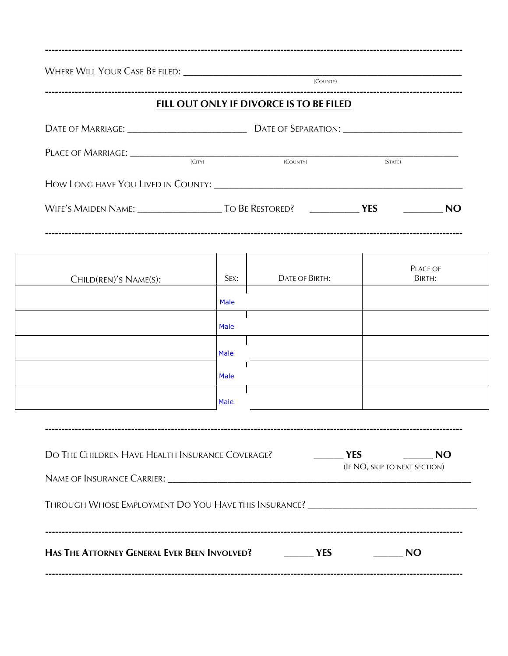| FILL OUT ONLY IF DIVORCE IS TO BE FILED<br>PLACE OF MARRIAGE: CITY) (COUNTY)<br><b>DATE OF BIRTH:</b><br>SEX: | (STATE)<br><b>PLACE OF</b><br>BIRTH:                                              |
|---------------------------------------------------------------------------------------------------------------|-----------------------------------------------------------------------------------|
|                                                                                                               |                                                                                   |
|                                                                                                               |                                                                                   |
|                                                                                                               |                                                                                   |
|                                                                                                               |                                                                                   |
|                                                                                                               |                                                                                   |
|                                                                                                               |                                                                                   |
|                                                                                                               |                                                                                   |
|                                                                                                               |                                                                                   |
|                                                                                                               |                                                                                   |
|                                                                                                               |                                                                                   |
|                                                                                                               |                                                                                   |
|                                                                                                               |                                                                                   |
|                                                                                                               |                                                                                   |
| $\frac{1}{2}$ YES                                                                                             | <b>NO</b>                                                                         |
|                                                                                                               | (IF NO, SKIP TO NEXT SECTION)                                                     |
|                                                                                                               | Through Whose Employment Do You Have this Insurance? ____________________________ |
|                                                                                                               |                                                                                   |
|                                                                                                               | DO THE CHILDREN HAVE HEALTH INSURANCE COVERAGE?                                   |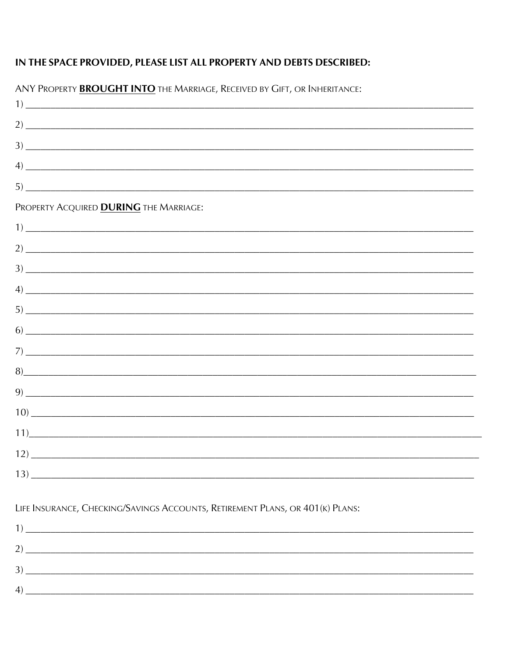## IN THE SPACE PROVIDED, PLEASE LIST ALL PROPERTY AND DEBTS DESCRIBED:

| ANY PROPERTY <b>BROUGHT INTO</b> THE MARRIAGE, RECEIVED BY GIFT, OR INHERITANCE:                                                                                                                                                                                                                                       |
|------------------------------------------------------------------------------------------------------------------------------------------------------------------------------------------------------------------------------------------------------------------------------------------------------------------------|
|                                                                                                                                                                                                                                                                                                                        |
|                                                                                                                                                                                                                                                                                                                        |
|                                                                                                                                                                                                                                                                                                                        |
| $\left(4\right)$ $\frac{1}{2}$ $\frac{1}{2}$ $\frac{1}{2}$ $\frac{1}{2}$ $\frac{1}{2}$ $\frac{1}{2}$ $\frac{1}{2}$ $\frac{1}{2}$ $\frac{1}{2}$ $\frac{1}{2}$ $\frac{1}{2}$ $\frac{1}{2}$ $\frac{1}{2}$ $\frac{1}{2}$ $\frac{1}{2}$ $\frac{1}{2}$ $\frac{1}{2}$ $\frac{1}{2}$ $\frac{1}{2}$ $\frac{1}{2}$ $\frac{1}{2}$ |
| $5)$ $\overline{\phantom{0}}$                                                                                                                                                                                                                                                                                          |
| PROPERTY ACQUIRED <b>DURING</b> THE MARRIAGE:                                                                                                                                                                                                                                                                          |
| $\frac{1}{2}$                                                                                                                                                                                                                                                                                                          |
|                                                                                                                                                                                                                                                                                                                        |
|                                                                                                                                                                                                                                                                                                                        |
| $\left(4\right)$ $\frac{1}{2}$ $\frac{1}{2}$ $\frac{1}{2}$ $\frac{1}{2}$ $\frac{1}{2}$ $\frac{1}{2}$ $\frac{1}{2}$ $\frac{1}{2}$ $\frac{1}{2}$ $\frac{1}{2}$ $\frac{1}{2}$ $\frac{1}{2}$ $\frac{1}{2}$ $\frac{1}{2}$ $\frac{1}{2}$ $\frac{1}{2}$ $\frac{1}{2}$ $\frac{1}{2}$ $\frac{1}{2}$ $\frac{1}{2}$ $\frac{1}{2}$ |
|                                                                                                                                                                                                                                                                                                                        |
|                                                                                                                                                                                                                                                                                                                        |
|                                                                                                                                                                                                                                                                                                                        |
| 8)                                                                                                                                                                                                                                                                                                                     |
|                                                                                                                                                                                                                                                                                                                        |
|                                                                                                                                                                                                                                                                                                                        |
| $\frac{1}{1}$                                                                                                                                                                                                                                                                                                          |
|                                                                                                                                                                                                                                                                                                                        |
| $\frac{13}{2}$                                                                                                                                                                                                                                                                                                         |
|                                                                                                                                                                                                                                                                                                                        |
|                                                                                                                                                                                                                                                                                                                        |

**ERTY PROLICUT INTO THE MAKE**  $\triangle N$  $\overline{\phantom{a}}$ 

LIFE INSURANCE, CHECKING/SAVINGS ACCOUNTS, RETIREMENT PLANS, OR 401(K) PLANS: